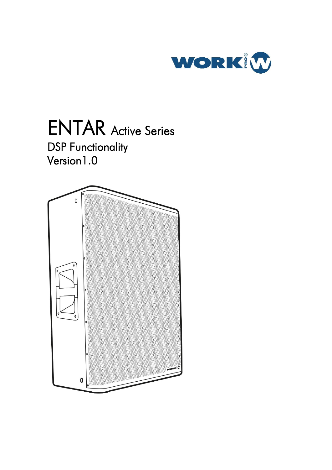

### ENTAR Active Series DSP Functionality Version1.0

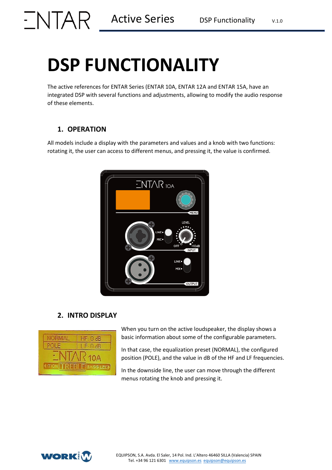### **DSP FUNCTIONALITY**

The active references for ENTAR Series (ENTAR 10A, ENTAR 12A and ENTAR 15A, have an integrated DSP with several functions and adjustments, allowing to modify the audio response of these elements.

### **1. OPERATION**

All models include a display with the parameters and values and a knob with two functions: rotating it, the user can access to different menus, and pressing it, the value is confirmed.



### **2. INTRO DISPLAY**



When you turn on the active loudspeaker, the display shows a basic information about some of the configurable parameters.

In that case, the equalization preset (NORMAL), the configured position (POLE), and the value in dB of the HF and LF frequencies.

In the downside line, the user can move through the different menus rotating the knob and pressing it.

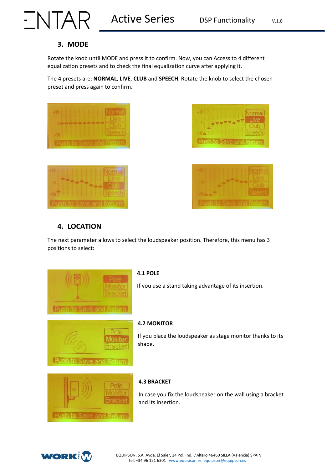# $\sqrt{\text{NPAR}}$  Active Series DSP Functionality V.1.0

### **3. MODE**

Rotate the knob until MODE and press it to confirm. Now, you can Access to 4 different equalization presets and to check the final equalization curve after applying it.

The 4 presets are: **NORMAL**, **LIVE**, **CLUB** and **SPEECH**. Rotate the knob to select the chosen preset and press again to confirm.







### **4. LOCATION**

The next parameter allows to select the loudspeaker position. Therefore, this menu has 3 positions to select:



### **4.1 POLE**

If you use a stand taking advantage of its insertion.



### **4.2 MONITOR**

If you place the loudspeaker as stage monitor thanks to its shape.



### **4.3 BRACKET**

In case you fix the loudspeaker on the wall using a bracket and its insertion.

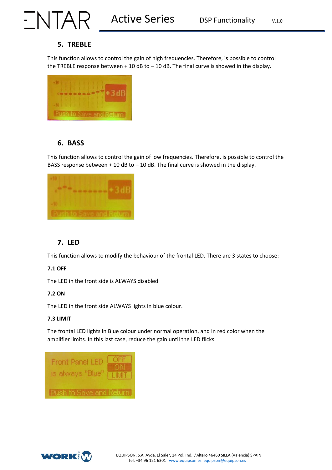## $\sqrt{\text{NPAR}}$  Active Series DSP Functionality V.1.0

### **5. TREBLE**

This function allows to control the gain of high frequencies. Therefore, is possible to control the TREBLE response between  $+$  10 dB to  $-$  10 dB. The final curve is showed in the display.



### **6. BASS**

This function allows to control the gain of low frequencies. Therefore, is possible to control the BASS response between  $+10$  dB to  $-10$  dB. The final curve is showed in the display.



### **7. LED**

This function allows to modify the behaviour of the frontal LED. There are 3 states to choose:

### **7.1 OFF**

The LED in the front side is ALWAYS disabled

### **7.2 ON**

The LED in the front side ALWAYS lights in blue colour.

### **7.3 LIMIT**

The frontal LED lights in Blue colour under normal operation, and in red color when the amplifier limits. In this last case, reduce the gain until the LED flicks.

| <b>Front Panel LEI</b><br>is always "Blue" | <b>TIMIT</b> |
|--------------------------------------------|--------------|
| Push to Save and Return                    |              |

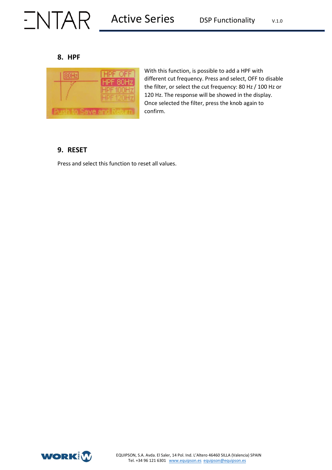## $\sqrt{\text{MPR}}$  Active Series DSP Functionality V.1.0

### **8. HPF**



With this function, is possible to add a HPF with different cut frequency. Press and select, OFF to disable the filter, or select the cut frequency: 80 Hz / 100 Hz or 120 Hz. The response will be showed in the display. Once selected the filter, press the knob again to confirm.

### **9. RESET**

Press and select this function to reset all values.